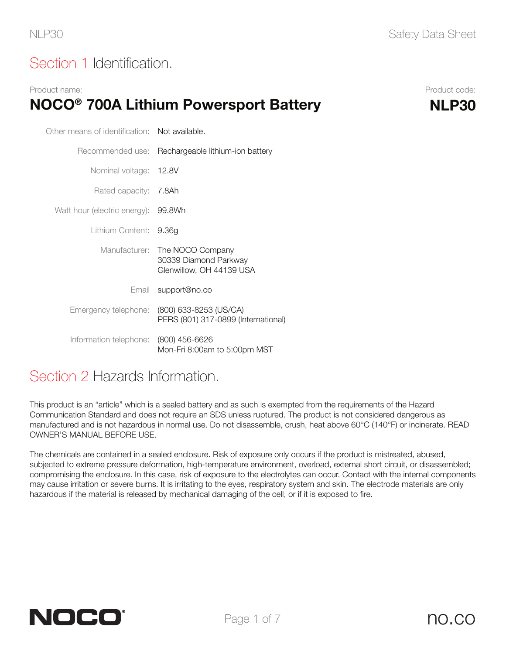## Section 1 Identification.

#### Product name: Product code: NOCO<sup>®</sup> 700A Lithium Powersport Battery MLP30

| Other means of identification: Not available. |                                                                       |  |  |
|-----------------------------------------------|-----------------------------------------------------------------------|--|--|
| Recommended use:                              | Rechargeable lithium-ion battery                                      |  |  |
| Nominal voltage:                              | 12.8V                                                                 |  |  |
| Rated capacity:                               | 7.8Ah                                                                 |  |  |
| Watt hour (electric energy):                  | 99.8Wh                                                                |  |  |
| Lithium Content:                              | 9.36g                                                                 |  |  |
| Manufacturer:                                 | The NOCO Company<br>30339 Diamond Parkway<br>Glenwillow, OH 44139 USA |  |  |
|                                               | Email support@no.co                                                   |  |  |
| Emergency telephone:                          | (800) 633-8253 (US/CA)<br>PERS (801) 317-0899 (International)         |  |  |
| Information telephone:                        | (800) 456-6626<br>Mon-Fri 8:00am to 5:00pm MST                        |  |  |

#### Section 2 Hazards Information.

This product is an "article" which is a sealed battery and as such is exempted from the requirements of the Hazard Communication Standard and does not require an SDS unless ruptured. The product is not considered dangerous as manufactured and is not hazardous in normal use. Do not disassemble, crush, heat above 60°C (140°F) or incinerate. READ OWNER'S MANUAL BEFORE USE.

The chemicals are contained in a sealed enclosure. Risk of exposure only occurs if the product is mistreated, abused, subjected to extreme pressure deformation, high-temperature environment, overload, external short circuit, or disassembled; compromising the enclosure. In this case, risk of exposure to the electrolytes can occur. Contact with the internal components may cause irritation or severe burns. It is irritating to the eyes, respiratory system and skin. The electrode materials are only hazardous if the material is released by mechanical damaging of the cell, or if it is exposed to fire.

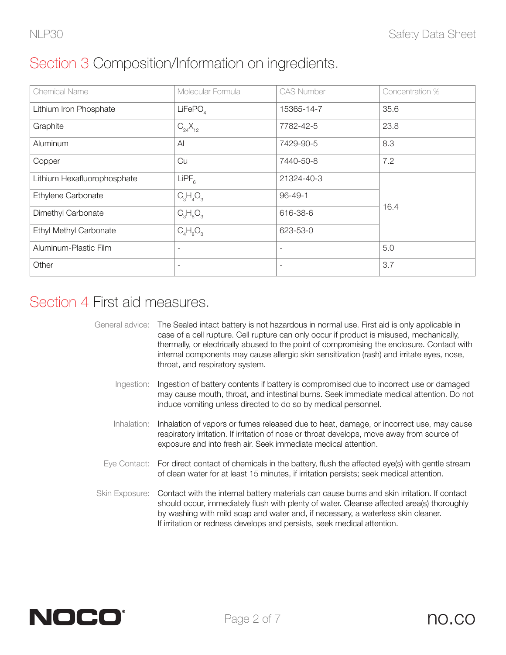# Section 3 Composition/Information on ingredients.

| <b>Chemical Name</b>        | Molecular Formula   | <b>CAS Number</b>        | Concentration % |  |
|-----------------------------|---------------------|--------------------------|-----------------|--|
| Lithium Iron Phosphate      | LiFePO <sub>A</sub> | 15365-14-7               | 35.6            |  |
| Graphite                    | $C_{24}X_{12}$      | 7782-42-5                | 23.8            |  |
| Aluminum                    | $\mathsf{A}$        | 7429-90-5                | 8.3             |  |
| Copper                      | Cu                  | 7440-50-8                | 7.2             |  |
| Lithium Hexafluorophosphate | $L$ i $PF6$         | 21324-40-3               |                 |  |
| Ethylene Carbonate          | $C_3H_4O_3$         | $96 - 49 - 1$            |                 |  |
| Dimethyl Carbonate          | $C_3H_6O_3$         | 616-38-6                 | 16.4            |  |
| Ethyl Methyl Carbonate      | $C_4H_8O_3$         | 623-53-0                 |                 |  |
| Aluminum-Plastic Film       | ٠                   | $\overline{\phantom{a}}$ | 5.0             |  |
| Other                       | ٠                   | $\overline{\phantom{a}}$ | 3.7             |  |

### Section 4 First aid measures.

|                                                                                            | General advice: The Sealed intact battery is not hazardous in normal use. First aid is only applicable in |  |  |
|--------------------------------------------------------------------------------------------|-----------------------------------------------------------------------------------------------------------|--|--|
|                                                                                            | case of a cell rupture. Cell rupture can only occur if product is misused, mechanically,                  |  |  |
| thermally, or electrically abused to the point of compromising the enclosure. Contact with |                                                                                                           |  |  |
|                                                                                            | internal components may cause allergic skin sensitization (rash) and irritate eyes, nose,                 |  |  |
|                                                                                            | throat, and respiratory system.                                                                           |  |  |

- Ingestion: Ingestion of battery contents if battery is compromised due to incorrect use or damaged may cause mouth, throat, and intestinal burns. Seek immediate medical attention. Do not induce vomiting unless directed to do so by medical personnel.
- Inhalation: Inhalation of vapors or fumes released due to heat, damage, or incorrect use, may cause respiratory irritation. If irritation of nose or throat develops, move away from source of exposure and into fresh air. Seek immediate medical attention.
- Eye Contact: For direct contact of chemicals in the battery, flush the affected eye(s) with gentle stream of clean water for at least 15 minutes, if irritation persists; seek medical attention.
- Skin Exposure: Contact with the internal battery materials can cause burns and skin irritation. If contact should occur, immediately flush with plenty of water. Cleanse affected area(s) thoroughly by washing with mild soap and water and, if necessary, a waterless skin cleaner. If irritation or redness develops and persists, seek medical attention.

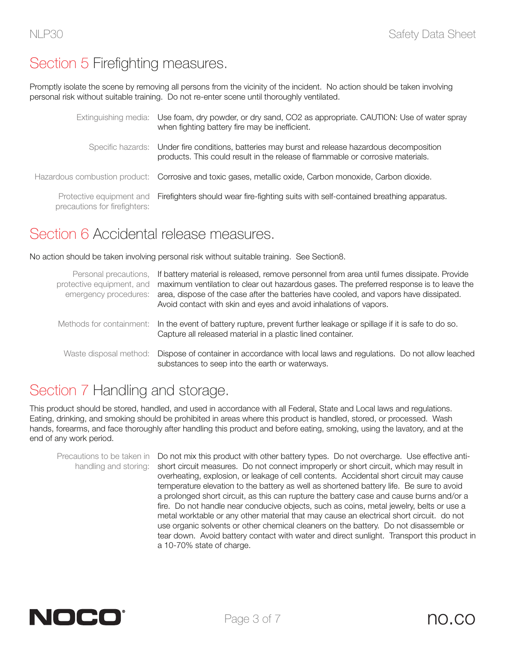## Section 5 Firefighting measures.

Promptly isolate the scene by removing all persons from the vicinity of the incident. No action should be taken involving personal risk without suitable training. Do not re-enter scene until thoroughly ventilated.

|                               | Extinguishing media: Use foam, dry powder, or dry sand, CO2 as appropriate. CAUTION: Use of water spray<br>when fighting battery fire may be inefficient.                           |
|-------------------------------|-------------------------------------------------------------------------------------------------------------------------------------------------------------------------------------|
|                               | Specific hazards: Under fire conditions, batteries may burst and release hazardous decomposition<br>products. This could result in the release of flammable or corrosive materials. |
|                               | Hazardous combustion product: Corrosive and toxic gases, metallic oxide, Carbon monoxide, Carbon dioxide.                                                                           |
| precautions for firefighters: | Protective equipment and Firefighters should wear fire-fighting suits with self-contained breathing apparatus.                                                                      |

#### Section 6 Accidental release measures.

No action should be taken involving personal risk without suitable training. See Section8.

| protective equipment, and<br>emergency procedures: | Personal precautions, If battery material is released, remove personnel from area until fumes dissipate. Provide<br>maximum ventilation to clear out hazardous gases. The preferred response is to leave the<br>area, dispose of the case after the batteries have cooled, and vapors have dissipated.<br>Avoid contact with skin and eyes and avoid inhalations of vapors. |  |  |
|----------------------------------------------------|-----------------------------------------------------------------------------------------------------------------------------------------------------------------------------------------------------------------------------------------------------------------------------------------------------------------------------------------------------------------------------|--|--|
|                                                    | Methods for containment: In the event of battery rupture, prevent further leakage or spillage if it is safe to do so.<br>Capture all released material in a plastic lined container.                                                                                                                                                                                        |  |  |
|                                                    | Waste disposal method: Dispose of container in accordance with local laws and regulations. Do not allow leached<br>substances to seep into the earth or waterways.                                                                                                                                                                                                          |  |  |

## Section 7 Handling and storage.

This product should be stored, handled, and used in accordance with all Federal, State and Local laws and regulations. Eating, drinking, and smoking should be prohibited in areas where this product is handled, stored, or processed. Wash hands, forearms, and face thoroughly after handling this product and before eating, smoking, using the lavatory, and at the end of any work period.

Precautions to be taken in Do not mix this product with other battery types. Do not overcharge. Use effective antihandling and storing: short circuit measures. Do not connect improperly or short circuit, which may result in overheating, explosion, or leakage of cell contents. Accidental short circuit may cause temperature elevation to the battery as well as shortened battery life. Be sure to avoid a prolonged short circuit, as this can rupture the battery case and cause burns and/or a fire. Do not handle near conducive objects, such as coins, metal jewelry, belts or use a metal worktable or any other material that may cause an electrical short circuit. do not use organic solvents or other chemical cleaners on the battery. Do not disassemble or tear down. Avoid battery contact with water and direct sunlight. Transport this product in a 10-70% state of charge.

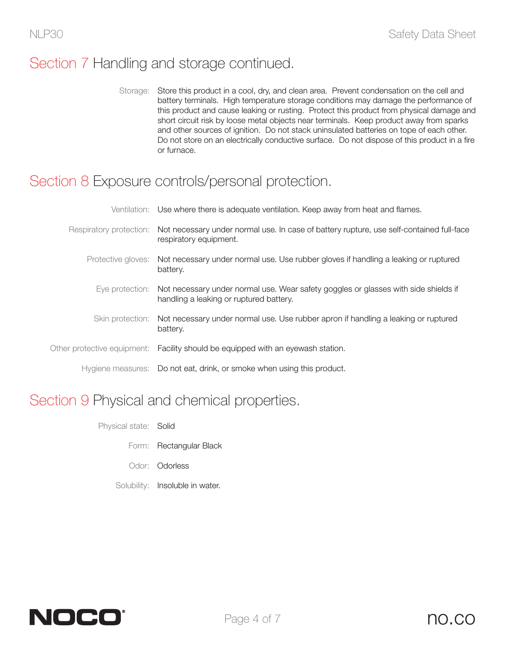# Section 7 Handling and storage continued.

Storage: Store this product in a cool, dry, and clean area. Prevent condensation on the cell and battery terminals. High temperature storage conditions may damage the performance of this product and cause leaking or rusting. Protect this product from physical damage and short circuit risk by loose metal objects near terminals. Keep product away from sparks and other sources of ignition. Do not stack uninsulated batteries on tope of each other. Do not store on an electrically conductive surface. Do not dispose of this product in a fire or furnace.

### Section 8 Exposure controls/personal protection.

| Ventilation: Use where there is adequate ventilation. Keep away from heat and flames.                                                          |
|------------------------------------------------------------------------------------------------------------------------------------------------|
| Respiratory protection: Not necessary under normal use. In case of battery rupture, use self-contained full-face<br>respiratory equipment.     |
| Protective gloves: Not necessary under normal use. Use rubber gloves if handling a leaking or ruptured<br>battery.                             |
| Eye protection: Not necessary under normal use. Wear safety goggles or glasses with side shields if<br>handling a leaking or ruptured battery. |
| Skin protection: Not necessary under normal use. Use rubber apron if handling a leaking or ruptured<br>battery.                                |
| Other protective equipment: Facility should be equipped with an eyewash station.                                                               |
| Hygiene measures: Do not eat, drink, or smoke when using this product.                                                                         |

#### Section 9 Physical and chemical properties.

- Physical state: Solid
	- Form: Rectangular Black
	- Odor: Odorless
	- Solubility: Insoluble in water.

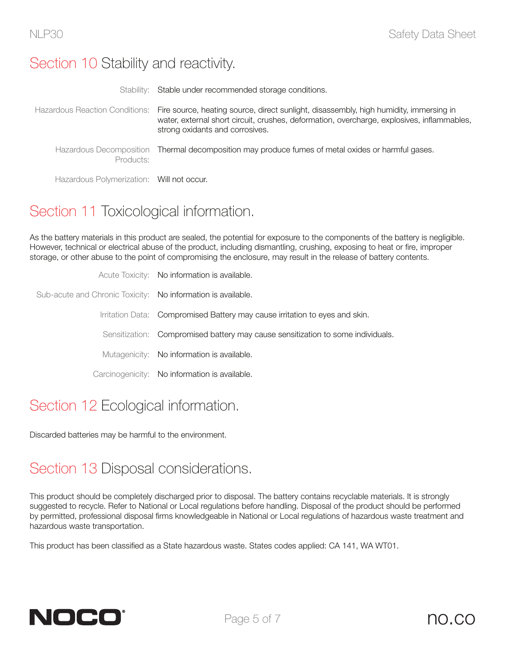#### Section 10 Stability and reactivity.

|                                           | Stability: Stable under recommended storage conditions.                                                                                                                                                                                                |
|-------------------------------------------|--------------------------------------------------------------------------------------------------------------------------------------------------------------------------------------------------------------------------------------------------------|
|                                           | Hazardous Reaction Conditions: Fire source, heating source, direct sunlight, disassembly, high humidity, immersing in<br>water, external short circuit, crushes, deformation, overcharge, explosives, inflammables,<br>strong oxidants and corrosives. |
| Products:                                 | Hazardous Decomposition Thermal decomposition may produce fumes of metal oxides or harmful gases.                                                                                                                                                      |
| Hazardous Polymerization: Will not occur. |                                                                                                                                                                                                                                                        |

# Section 11 Toxicological information.

As the battery materials in this product are sealed, the potential for exposure to the components of the battery is negligible. However, technical or electrical abuse of the product, including dismantling, crushing, exposing to heat or fire, improper storage, or other abuse to the point of compromising the enclosure, may result in the release of battery contents.

|                                                              | Acute Toxicity: No information is available.                                    |
|--------------------------------------------------------------|---------------------------------------------------------------------------------|
| Sub-acute and Chronic Toxicity: No information is available. |                                                                                 |
|                                                              | Irritation Data: Compromised Battery may cause irritation to eyes and skin.     |
|                                                              | Sensitization: Compromised battery may cause sensitization to some individuals. |
|                                                              | Mutagenicity: No information is available.                                      |
|                                                              | Carcinogenicity: No information is available.                                   |
|                                                              |                                                                                 |

# Section 12 Ecological information.

Discarded batteries may be harmful to the environment.

## Section 13 Disposal considerations.

This product should be completely discharged prior to disposal. The battery contains recyclable materials. It is strongly suggested to recycle. Refer to National or Local regulations before handling. Disposal of the product should be performed by permitted, professional disposal firms knowledgeable in National or Local regulations of hazardous waste treatment and hazardous waste transportation.

This product has been classified as a State hazardous waste. States codes applied: CA 141, WA WT01.

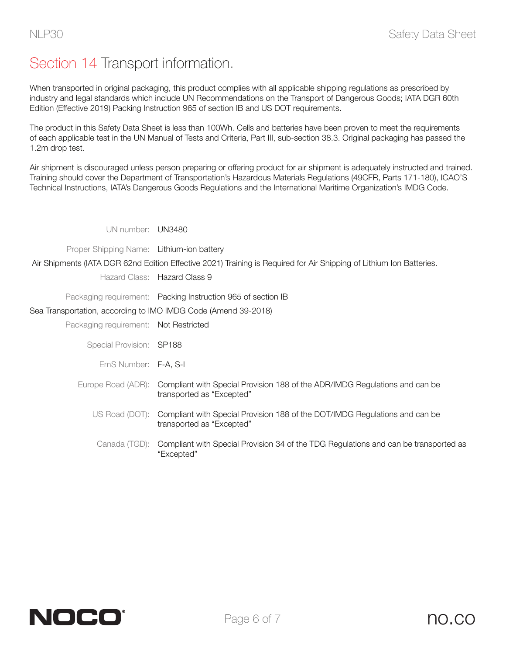# Section 14 Transport information.

When transported in original packaging, this product complies with all applicable shipping regulations as prescribed by industry and legal standards which include UN Recommendations on the Transport of Dangerous Goods; IATA DGR 60th Edition (Effective 2019) Packing Instruction 965 of section IB and US DOT requirements.

The product in this Safety Data Sheet is less than 100Wh. Cells and batteries have been proven to meet the requirements of each applicable test in the UN Manual of Tests and Criteria, Part III, sub-section 38.3. Original packaging has passed the 1.2m drop test.

Air shipment is discouraged unless person preparing or offering product for air shipment is adequately instructed and trained. Training should cover the Department of Transportation's Hazardous Materials Regulations (49CFR, Parts 171-180), ICAO'S Technical Instructions, IATA's Dangerous Goods Regulations and the International Maritime Organization's IMDG Code.

UN number: UN3480

Proper Shipping Name: Lithium-ion battery

Air Shipments (IATA DGR 62nd Edition Effective 2021) Training is Required for Air Shipping of Lithium Ion Batteries.

Hazard Class: Hazard Class 9

Packaging requirement: Packing Instruction 965 of section IB

Sea Transportation, according to IMO IMDG Code (Amend 39-2018)

Packaging requirement: Not Restricted

Special Provision: SP188

EmS Number: F-A, S-I

- Europe Road (ADR): Compliant with Special Provision 188 of the ADR/IMDG Regulations and can be transported as "Excepted"
	- US Road (DOT): Compliant with Special Provision 188 of the DOT/IMDG Regulations and can be transported as "Excepted"
		- Canada (TGD): Compliant with Special Provision 34 of the TDG Regulations and can be transported as "Excepted"